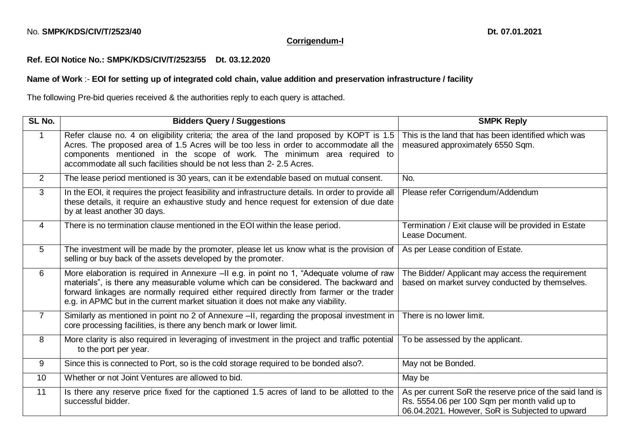## **Corrigendum-I**

## **Ref. EOI Notice No.: SMPK/KDS/CIV/T/2523/55 Dt. 03.12.2020**

## **Name of Work** :- **EOI for setting up of integrated cold chain, value addition and preservation infrastructure / facility**

The following Pre-bid queries received & the authorities reply to each query is attached.

| SL No.         | <b>Bidders Query / Suggestions</b>                                                                                                                                                                                                                                                                                                                                | <b>SMPK Reply</b>                                                                                                                                            |
|----------------|-------------------------------------------------------------------------------------------------------------------------------------------------------------------------------------------------------------------------------------------------------------------------------------------------------------------------------------------------------------------|--------------------------------------------------------------------------------------------------------------------------------------------------------------|
| $\mathbf{1}$   | Refer clause no. 4 on eligibility criteria; the area of the land proposed by KOPT is 1.5<br>Acres. The proposed area of 1.5 Acres will be too less in order to accommodate all the<br>components mentioned in the scope of work. The minimum area required to<br>accommodate all such facilities should be not less than 2-2.5 Acres.                             | This is the land that has been identified which was<br>measured approximately 6550 Sqm.                                                                      |
| 2              | The lease period mentioned is 30 years, can it be extendable based on mutual consent.                                                                                                                                                                                                                                                                             | No.                                                                                                                                                          |
| 3              | In the EOI, it requires the project feasibility and infrastructure details. In order to provide all<br>these details, it require an exhaustive study and hence request for extension of due date<br>by at least another 30 days.                                                                                                                                  | Please refer Corrigendum/Addendum                                                                                                                            |
| 4              | There is no termination clause mentioned in the EOI within the lease period.                                                                                                                                                                                                                                                                                      | Termination / Exit clause will be provided in Estate<br>Lease Document.                                                                                      |
| 5              | The investment will be made by the promoter, please let us know what is the provision of<br>selling or buy back of the assets developed by the promoter.                                                                                                                                                                                                          | As per Lease condition of Estate.                                                                                                                            |
| 6              | More elaboration is required in Annexure -II e.g. in point no 1, "Adequate volume of raw<br>materials", is there any measurable volume which can be considered. The backward and<br>forward linkages are normally required either required directly from farmer or the trader<br>e.g. in APMC but in the current market situation it does not make any viability. | The Bidder/ Applicant may access the requirement<br>based on market survey conducted by themselves.                                                          |
| $\overline{7}$ | Similarly as mentioned in point no 2 of Annexure -II, regarding the proposal investment in<br>core processing facilities, is there any bench mark or lower limit.                                                                                                                                                                                                 | There is no lower limit.                                                                                                                                     |
| 8              | More clarity is also required in leveraging of investment in the project and traffic potential<br>to the port per year.                                                                                                                                                                                                                                           | To be assessed by the applicant.                                                                                                                             |
| 9              | Since this is connected to Port, so is the cold storage required to be bonded also?.                                                                                                                                                                                                                                                                              | May not be Bonded.                                                                                                                                           |
| 10             | Whether or not Joint Ventures are allowed to bid.                                                                                                                                                                                                                                                                                                                 | May be                                                                                                                                                       |
| 11             | Is there any reserve price fixed for the captioned 1.5 acres of land to be allotted to the<br>successful bidder.                                                                                                                                                                                                                                                  | As per current SoR the reserve price of the said land is<br>Rs. 5554.06 per 100 Sqm per month valid up to<br>06.04.2021. However, SoR is Subjected to upward |